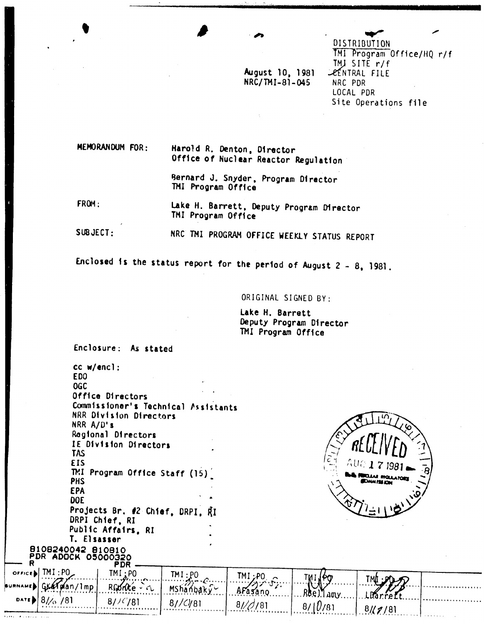August 10, 1981 NRC/TMI-81-045

DISTRIBUTION TMI Program Office/HQ r/f TMJ SITE r/f **LEENTRAL FILE** NRC PDR LOCAL PDR Site Operations file

MEMORANDUM FOR: Harold R. Denton, Director Office of Nuclear Reactor Regulation

> Bernard J. Snyder, Program Director TMI Program Office

FROM:

 $\hat{\mathbf{r}}$  is a single

Lake H. Barrett, Deputy Program Director TMI Program Office

SUBJECT: NRC TMI PROGRAM OFFICE WEEKLY STATUS REPORT

Enclosed is the status report for the period of August  $2 - 8$ , 1981.

ORIGINAL SIGNED BY:

Lake H. Barrett Deputy Program Director TMI Program Office

Enclosure: As stated

 $cc$  w/encl: EDO **OGC** Office Directors Commissioner's Technical Assistants NRR Division Directors NRR A/D's Regional Directors IE Division Directors **TAS EIS** TMI Program Office Staff (15) PHS **EPA DOE** Projects Br. #2 Chief, DRPI, RI DRPI Chief, RI Public Affairs, RI T. Elsasser 8108240042 810810 PDŘ ADOČK 05000320<br>R<br>PDR  $over of the B$   $\overline{M}$  : PO TMI<sub>A.</sub>PO  $TM : \text{PO}$ TMI:P0 ノハン  $\mathcal{T}_Z$ :  $Rf_0$ (an/1mp Mshanbaky-AFasano.... **Marrellt**  $8/\sqrt{2}$  $781$  $81/(78)$ 8//C/81  $\overline{\mathbf{8}}$ 781  $8/10/81$  $8/(7/8)$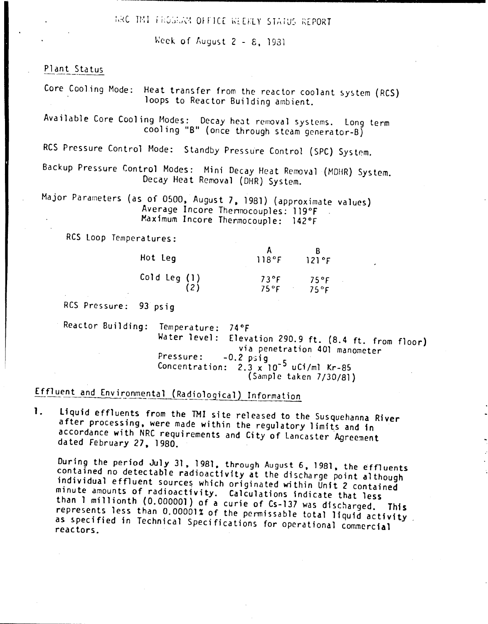RRC TMI FROGRAM OFFICE WEEKLY STATUS REPORT

Week of August  $2 - E$ , 1931

## Plant Status

Core Cooling Mode: Heat transfer from the reactor coolant system (RCS) loops to Reactor Building ambient.

Available Core Cooling Modes: Decay heat removal systems. Long term cooling "B" (once through steam generator-B)

RCS Pressure Control Mode: Standby Pressure Control (SPC) System.

Backup Pressure Control Modes: Mini Decay Heat Removal (MOHR) System. Decay Heat Removal (DHR) System.

Major Parameters (as of 0500. August 7. 1981) (approximate values) Average Incore Thennocouples: 119°F Maximum Incore Thermocouple: 142°F

RCS loop Temperatures:

| Hot Leg      | 118°F                           | 121°F                  |
|--------------|---------------------------------|------------------------|
| Cold Leg (1) | $73^{\circ}F$<br>$75^{\circ}$ F | 75°F<br>$75^{\circ}$ F |

RCS Pressure: 93 psig

Reactor Building: Temperature: *740F* Water level: Elevation 290.9 ft. (8.4 ft. from floor) via penetration 401 manometer Pressure:  $-0.2$  psig Concentration:  $2.3 \times 10^{-5}$  uCi/ml Kr-85 (Sample taKen 7/30/81)

## Effluent and Environmental (Radiological) Information

1. liquid effluents from the TMI site released to the Susquehanna River after processing, were made within the regulatory limits and in accordance with NRC requirements and City of Lancaster Agreement da ted February 27. 1980.

During the period July 31, 1981, through August 6, 1981, the effluents contained no detectable radioactivity at the discharge point although individual effluent sources which originated within Unit 2 contained minute amounts of radioactivity. Calculations indicate that less than 1 millionth (0.000001) of a curie of Cs-137 was discharged. This represents less than 0.00001% of the permissable total liquid activity as specified in Technical Specifications for operational commercial reactors.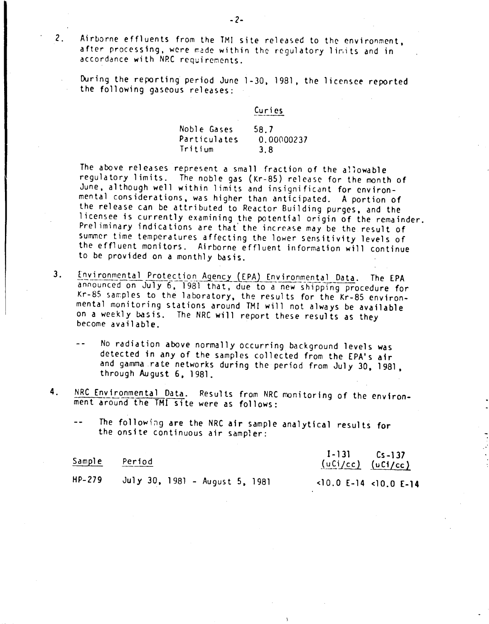2. Airborne effluents from the TMI site released to the environment. after processing, were made within the regulatory limits and in accordance with NRC requirements.

During the reporting period June 1-30, 1981, the licensee reported the following gaseous releases:

| Noble Gases  | 58.7       |
|--------------|------------|
| Particulates | 0.00000237 |
| Tritium      | 3.8        |

Curi es

The above releases represent a small fraction of the allowable regulatory limits. The noble gas (Kr-85) release for the month of June, although well within 1 imits and insigni fitant for environmental considerations. was higher than anticipated. A portion of the release can be attributed to Reactor Building purges, and the licensee is currently examining the potential origin of the remainder. Preliminary indications are that the increase may be the result of Summer time temperatures affecting the lower sensitivity levels of the effluent monitors. Airborne effluent information will continue to be provided on a monthly basis.

- 3. Environmental Protection Agency (EPA) Environmental Data. The EPA announced on July 6, 1981 that, due to a new shipping procedure for Kr-85 samples to the laboratory, the results for the Kr-85 environmental monitoring stations around TM1 will not always be available on a weekly basis. The NRC will report these results as they become available.
	- No radiation above normally occurring background levels was  $-$ detected in any of the samples collected from the EPA's air and gamma rate networks during the period from July 30. 1981. through August  $6.1981.$
- 4. NRC Environmental Data. Results from NRC monitoring of the environment around the TMI site were as follows:

|  |                                    |  |  | The following are the NRC air sample analytical results for |  |
|--|------------------------------------|--|--|-------------------------------------------------------------|--|
|  | the onsite continuous air sampler: |  |  |                                                             |  |

| Sample   | Period                         | $I-131$ $Cs-137$<br>$(uCl/cc)$ $(uCl/cc)$ |  |
|----------|--------------------------------|-------------------------------------------|--|
| $HP-279$ | July 30, 1981 - August 5, 1981 | $<$ 10.0 E-14 <10.0 E-14                  |  |

-2-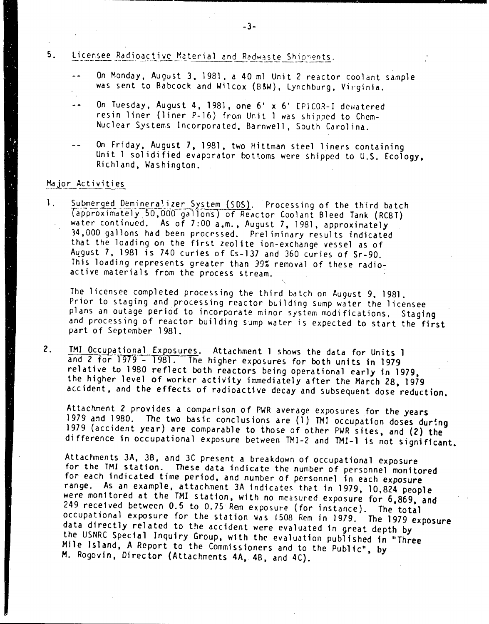#### Licensee Radioactive Material and Radwaste Shipments. 5.

- $\overline{a}$ On Monday. August 3. 1981. a 40 ml Unit 2 reactor coolant sample was sent to Babcock and Wilcox (B&W), Lynchburg, Virginia.
- On Tuesday, August 4, 1981, one 6' x 6' EPICOR-I dewatered  $-$ resin liner (liner P-16) from Unit 1 was shipped to Chem-Nuclear Systems Incorporated. Barnwell. South Carol ina.
- On Friday, August 7,1981. two Hittman steel liners containing Unit 1 sol idified evaporator bottoms were Shipped to U.S. Ecology, Richland. Washington.

### Major Activities

1. Submerged Demineralizer System (SDS). Processing of the third batch Tdpproximately5"O.OOO gallons) of Reactor Coolant Bleed Tank (RCBT) water continued. As of 7:00 a.m., August 7, 1981, approximately 34.000 gallons had been processed. Preliminary results indicated that the loading on the first zeolite ion-exchange *vessel* as of August 7, 1981 is 740 curies of Cs-137 and 360 curies of Sr-90. This loading represents greater than 39% removal of these radio: active materials from the process stream.

The licensee completed processing the third batch on August 9. 1981. Prior to staging and processing reactor building sump water the licensee plans an outage period to incorporate minor system modifications. Staging and processing of reactor building sump water is expected to start the first part of September 1981.

2. TMI Occupational Exposures. Attachment 1 shows the data for Units 1 and 2 for 1979 - 1981. The higher exposures for both units in 1979 relative to 1980 reflect both reactors being operational early in 1979, the higher *level* of worker activity immediately after the March 28, 1979 accident, and the effects of radioactive decay and subsequent dose reduction.

Attachment 2 provides a comparison of PWR average exposures for the years 1979 and 1980. The two basic conclusions are (1) TMI occupation doses during 1979 (accident year) are comparable to those of other PWR sites, and (2) the difference in occupational exposure between TMI-2 and TMI-l is not significant.

Attachments 3A, 36. and 3C present a breakdown of occupational exposure for the TMI station. These data indicate the number of personnel monitored *for* each indicated time period, and number of personnel in each exposure range. As an example, attachment 3A indicates that in 1979, 10,824 people were monitored at the TMI station, with no measured exposure for 6,869, and 249 received between 0.5 to 0.75 Rern exposure (for instance). The total occupational exposure for the station was *1508* Rem in 1979. The 1979 exposure data directly related to the accident were evaluated in great depth by the USNRC Special Inquiry Group, with the evaluation published tn "Three Mile Island, A Report to the Commissioners and to the Public", by M. Rogovin, Director (Attachments 4A, 46, and 4C).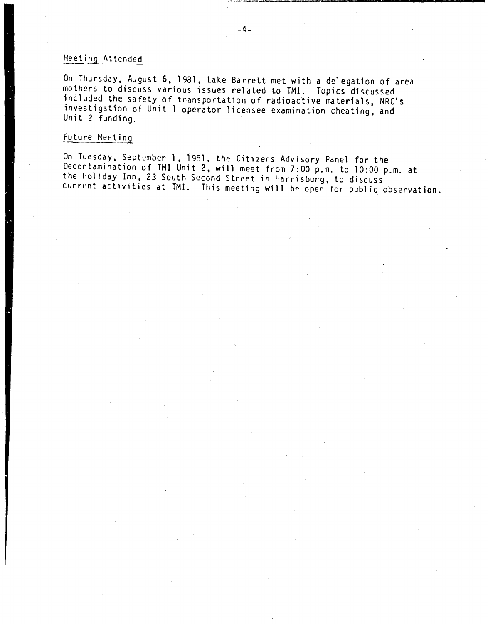## Meeting Attended

On Thursday, August 6, 1981, Lake Barrett met with a delegation of area mothers to discuss various issues related to TMI. Topics discussed included the safety of transportation of radioactive materials, NRC's investigation of Unit 1 operator licensee examination cheating, and Unit 2 funding.

## Future Meeting

On Tuesday, September 1, 1981, the Citizens Advisory Panel for the Decontamination of TMI Unit 2, will meet from 7:00 p.m. to 10:00 p.m. at the Holiday Inn, 23 South Second Street in Harrisburg, to discuss current activities at TMI. This meeting will be open for public observation.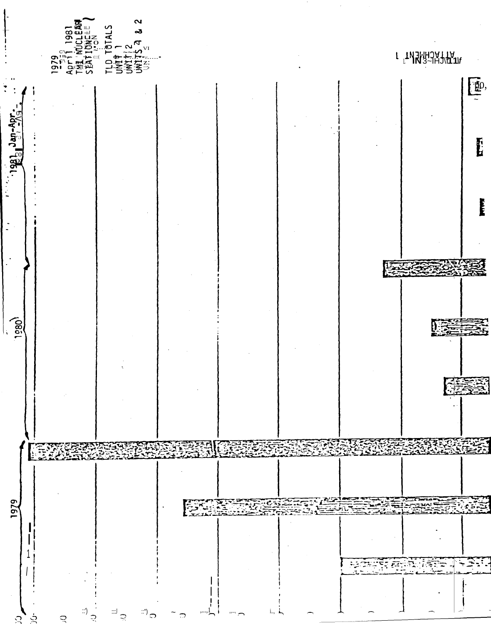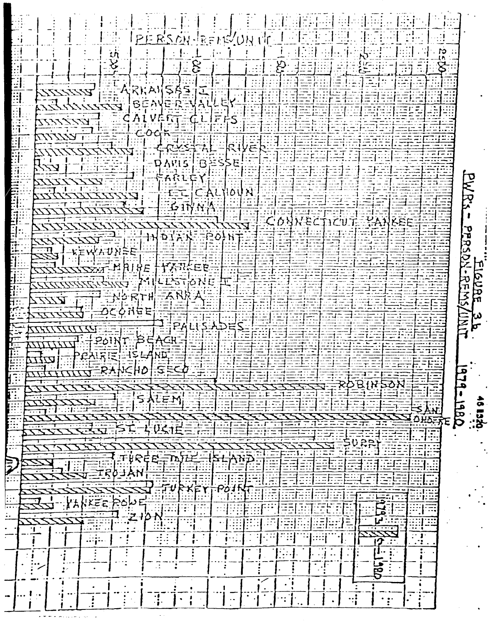| PERSON-RENEWIN NO<br>$\tilde{\mathfrak{c}}$                        |                      |
|--------------------------------------------------------------------|----------------------|
| tη                                                                 |                      |
| $\mathfrak{T}$                                                     |                      |
| Βt<br>$\equiv$                                                     |                      |
|                                                                    |                      |
|                                                                    |                      |
| DAVIS BES<br>EALYIOUN                                              | ∑<br>ए               |
|                                                                    | بر<br>ا              |
| $  \vec{p} \vec{1} \vec{Y} \vec{Y}  $                              |                      |
| <u>athre</u><br><b>HAINE</b><br>忆                                  |                      |
| <b>LESTIONE</b>                                                    | <b>SURFAS</b>        |
| ኯ፟፟፟፟፟፟፟፟ኯጜ፞፝ፗሇ፟<br>$\pm$ A<br>38 E                                |                      |
| P<br>$+201N$                                                       | $\tilde{\vec{\Xi}}'$ |
|                                                                    |                      |
| Į<br>$\vec{B}$<br>ਤਿਨੋਸ਼ੋ                                          | 1979-1980            |
| E<br>SALEM                                                         | 48 TS29.<br>48 TS29. |
| π.                                                                 |                      |
| Έ<br>$\bar{z}$                                                     |                      |
| $\mathbf{A}$<br>Potf                                               |                      |
| $\vdots$<br>جن<br>'አ<br>44.2<br>ō                                  |                      |
| $\mathbf{N}$<br>∙.                                                 |                      |
| $\mathbf{H}$<br>۰.                                                 |                      |
| $\overline{3}$                                                     |                      |
| $\overline{\cdot}$<br>$ \mathbb{F} $<br>$\ddot{\cdot}$<br>$\cdot:$ |                      |

 $\sim$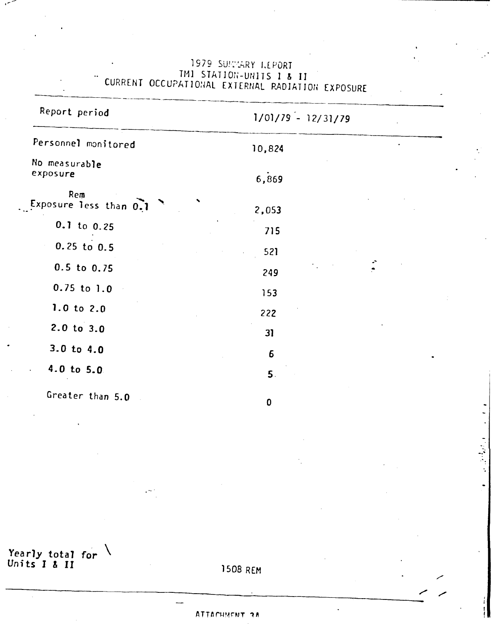| Report period                 | $1/01/79 - 12/31/79$ |
|-------------------------------|----------------------|
| Personnel monitored           | 10,824               |
| No measurable<br>exposure     | 6,869                |
| Rem<br>Exposure less than 0.1 | 2,053                |
| $0.1$ to $0.25$               | 715                  |
| $0.25$ to $0.5$               | 521                  |
| $0.5$ to $0.75$               | 249                  |
| $0.75$ to $1.0$               | 153                  |
| 1.0 to $2.0$                  | 222                  |
| $2.0$ to $3.0$                | 31                   |
| $3.0$ to $4.0$                | 6                    |
| $4.0$ to 5.0                  | 5.                   |
| Greater than 5.0              | $\mathbf{0}$         |

1979 SUNNARY LEPORT THI STATION-UNITS I & II<br>CURRENT OCCUPATIONAL EXTERNAL RADIATION EXPOSURE

Yearly total for  $\sqrt{\frac{1}{15}}$  I & II

1508 REM

## ATTACHMENT 2A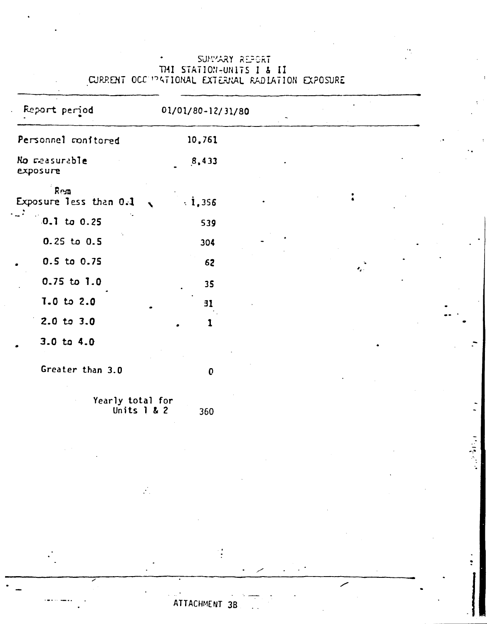| Report period                     | 01/01/80-12/31/80            |  |           |  |
|-----------------------------------|------------------------------|--|-----------|--|
| Personnel monitored               | 10,761                       |  |           |  |
| No measurable<br>exposure         | 8,433                        |  |           |  |
| $R$ esn<br>Exposure less than 0.1 | $\cdot i, 356$<br>$\sqrt{2}$ |  |           |  |
| $.0.1$ to $0.25$                  | 539                          |  |           |  |
| $0.25$ to $0.5$                   | 304                          |  |           |  |
| 0.5 to 0.75                       | 62                           |  | $\bullet$ |  |
| $0.75$ to $1.0$                   | 35                           |  |           |  |
| $7.0 \text{ to } 2.0$             | 31                           |  |           |  |
| $2.0 \text{ to } 3.0$             | ı                            |  |           |  |
| $3.0 \text{ to } 4.0$             |                              |  |           |  |
| Greater than 3.0                  | $\mathbf 0$                  |  |           |  |

## SUMMARY REPORT THI STATION-UNITS I & II<br>CURRENT OCC PATIONAL EXTERNAL RADIATION EXPOSURE

Yearly total for<br>Units 1 & 2 360

 $\frac{1}{2}$ 

ATTACHMENT 3B

医皮质的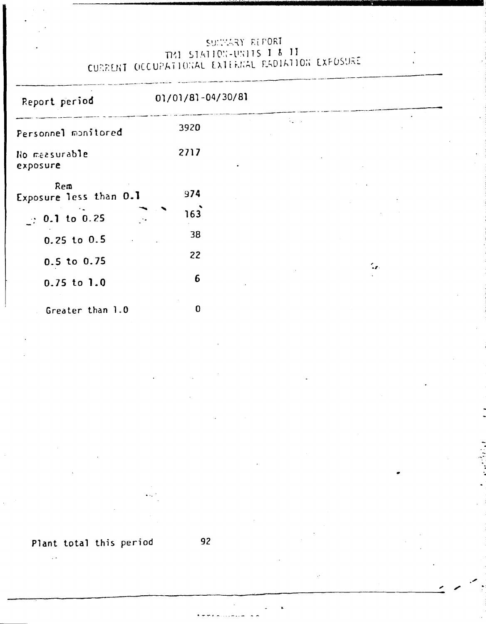# SULTARY REPORT n~l ~l,c"l)O~;-ll~;llS 1 ~ 1l CURRENT OCCUPATIONAL EXTERNAL RADIATION EXPOSURE

| Report period                 | 01/01/81-04/30/81 |                            |
|-------------------------------|-------------------|----------------------------|
| Personnel monitored           | 3920              |                            |
| No measurable<br>exposure     | 2717              |                            |
| Rem<br>Exposure less than 0.1 | 974               |                            |
| $\therefore$ 0.1 to 0.25      | 163               |                            |
| $0.25$ to $0.5$               | 38                |                            |
| $0.5$ to $0.75$               | 22                | $\mathcal{L}_{\mathbf{F}}$ |
| $0.75$ to $1.0$               | 6                 |                            |
| Greater than 1.0              | 0                 |                            |

.'

'.

**Plant total this period 92**

 $\mathbb{R}^2$ 

-----:----------------------------------------\_.::-: .".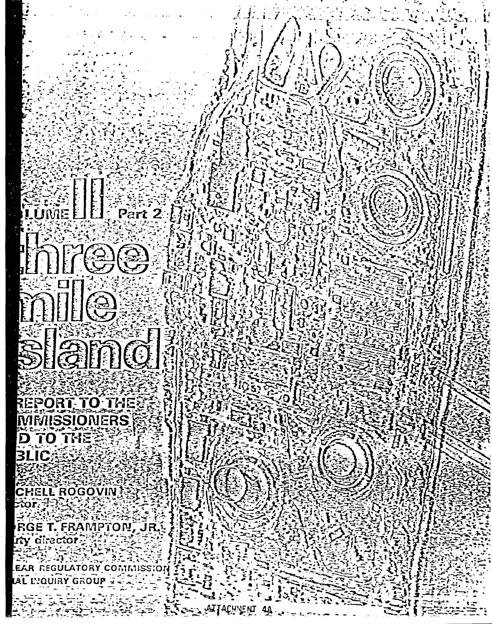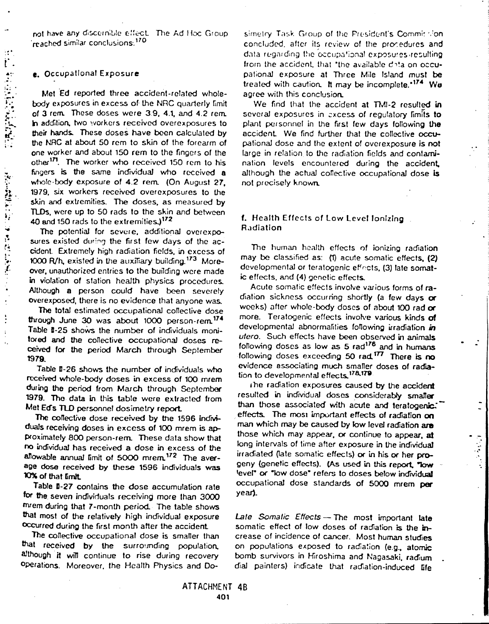not have any discernible effect. The Ad Hoc Group reached similar conclusions.<sup>170</sup>

### e. Occupational Exposure

Met Ed reported three accident-related wholebody exposures in excess of the NRC quarterly limit of 3 rem. These doses were 3.9, 4.1, and 4.2 rem. In addition, two workers received overexposures to their hands. These doses have been calculated by the NRC at about 50 rem to skin of the forearm of one worker and about 150 rem to the fingers of the other<sup>171</sup>. The worker who received 150 rem to his fingers is the same individual who received a whole-body exposure of 4.2 rem. (On August 27, 1979, six workers received overexposures to the skin and extremities. The doses, as measured by TLDs, were up to 50 rads to the skin and between 40 and 150 rads to the extremities.)<sup>172</sup>

The potential for severe, additional overexposures existed during the first few days of the accident. Extremely high radiation fields, in excess of 1000 R/h, existed in the auxiliary building.<sup>173</sup> Moreover, unauthorized entries to the building were made in violation of station health physics procedures. Although a person could have been severely overexposed, there is no evidence that anyone was.

The total estimated occupational collective dose through June 30 was about 1000 person-rem<sup>174</sup> Table I-25 shows the number of individuals monifored and the collective occupational doses received for the period March through September 1979.

Table II-26 shows the number of individuals who received whole-body doses in excess of 100 mrem during the period from March through September 1979. The data in this table were extracted from Met Ed's TLD personnel dosimetry report.

The collective dose received by the 1596 individuals receiving doses in excess of 100 mrem is approximately 800 person-rem. These data show that no individual has received a dose in excess of the allowable annual limit of 5000 mrem.<sup>172</sup> The average dose received by these 1596 individuals was 10% of that limit.

Table B-27 contains the dose accumulation rate for the seven individuals receiving more than 3000 mrem during that 7-month period. The table shows that most of the relatively high individual exposure occurred during the first month after the accident.

The collective occupational dose is smaller than that received by the surrounding population, although it will continue to rise during recovery Operations. Moreover, the Health Physics and Do-

simetry Task Group of the President's Commit tion. concluded, after its review of the procedures and data regarding the occupational exposures resulting from the accident, that "the available data on occupational exposure at Three Mile Island must be treated with caution. It may be incomplete.<sup>174</sup> We agree with this conclusion.

We find that the accident at TMI-2 resulted in several exposures in excess of regulatory limits to plant personnel in the first few days following the accident. We find further that the collective occupational dose and the extent of overexposure is not large in relation to the radiation fields and contamination levels encountered during the accident, although the actual collective occupational dose is not precisely known.

### f. Health Effects of Low Level Ionizing Radiation

The human health effects of ionizing radiation may be classified as: (1) acute somatic effects, (2) developmental or teratogenic effects, (3) late somatic effects, and (4) genetic effects.

Acute somatic effects involve various forms of radiation sickness occurring shortly (a few days or weeks) after whole-body doses of about 100 rad or more. Teratogenic effects involve various kinds of developmental abnormalities following irradiation in utero. Such effects have been observed in animals following doses as low as 5 rad<sup>176</sup> and in humans following doses exceeding 50 rad 177 There is no evidence associating much smaller doses of radiation to developmental effects.<sup>178,179</sup>

the radiation exposures caused by the accident resulted in individual doses considerably smaller than those associated with acute and teratogenic." effects. The most important effects of radiation on man which may be caused by low level radiation are those which may appear, or continue to appear, at long intervals of time after exposure in the individual irradiated (late somatic effects) or in his or her progeny (genetic effects). (As used in this report, "low level" or "low dose" refers to doses below individual occupational dose standards of 5000 mrem per year).

Late Somalic Effects - The most important late somatic effect of low doses of radiation is the increase of incidence of cancer. Most human studies on populations exposed to radiation (e.g., atomic bomb survivors in Hiroshima and Nagasaki, radium dial painters) indicate that radiation-induced life